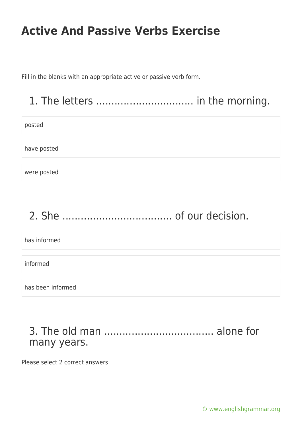Fill in the blanks with an appropriate active or passive verb form.

### 1. The letters ................................ in the morning.

posted

have posted

were posted

# 2. She .................................... of our decision.

has informed informed has been informed

#### 3. The old man .................................... alone for many years.

Please select 2 correct answers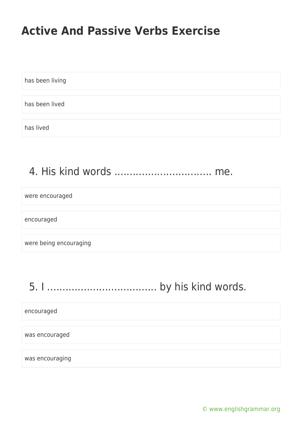has been living has been lived has lived

### 4. His kind words ................................ me.

were encouraged

encouraged

were being encouraging

5. I .................................... by his kind words.

encouraged

was encouraged

was encouraging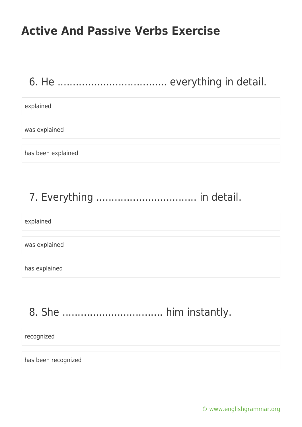### 6. He .................................... everything in detail.

#### explained

was explained

has been explained

# 7. Everything ................................. in detail.

explained

was explained

has explained

# 8. She ................................. him instantly.

recognized

has been recognized

[© www.englishgrammar.org](https://www.englishgrammar.org/)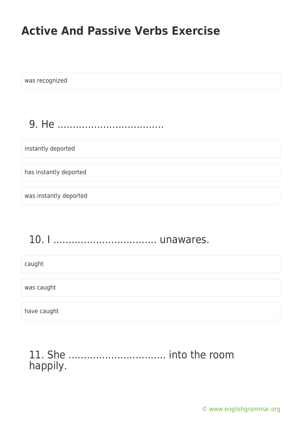was recognized

9. He ...................................

instantly deported

has instantly deported

was instantly deported

#### 10. I .................................. unawares.

caught

was caught

have caught

#### 11. She ................................ into the room happily.

[© www.englishgrammar.org](https://www.englishgrammar.org/)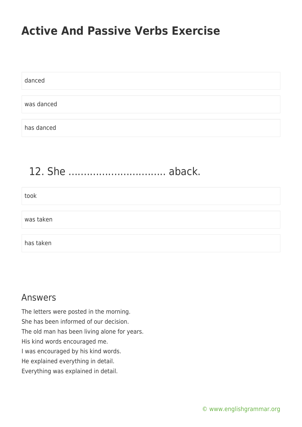danced was danced has danced

#### 12. She ................................ aback.

| took      |  |
|-----------|--|
|           |  |
| was taken |  |
|           |  |
| has taken |  |

#### Answers

The letters were posted in the morning. She has been informed of our decision. The old man has been living alone for years. His kind words encouraged me. I was encouraged by his kind words. He explained everything in detail. Everything was explained in detail.